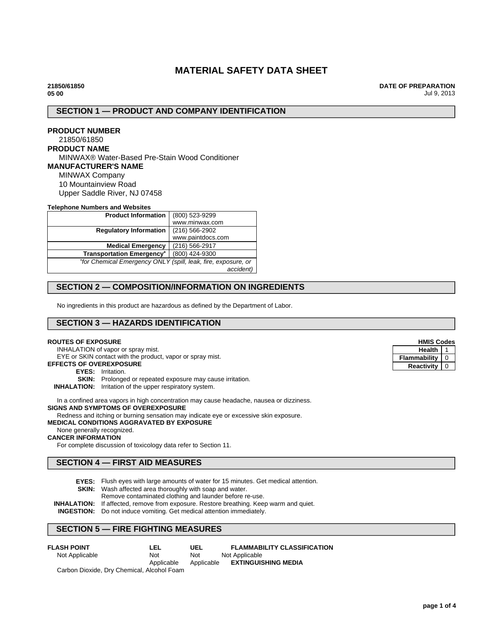# **MATERIAL SAFETY DATA SHEET**

**21850/61850 05 00**

**DATE OF PREPARATION** Jul 9, 2013

# **SECTION 1 — PRODUCT AND COMPANY IDENTIFICATION**

# **PRODUCT NUMBER**

#### 21850/61850 **PRODUCT NAME**

MINWAX® Water-Based Pre-Stain Wood Conditioner **MANUFACTURER'S NAME** MINWAX Company 10 Mountainview Road Upper Saddle River, NJ 07458

#### **Telephone Numbers and Websites**

| <b>Product Information</b>                                    | (800) 523-9299    |  |
|---------------------------------------------------------------|-------------------|--|
|                                                               | www.minwax.com    |  |
| <b>Regulatory Information</b>                                 | $(216)$ 566-2902  |  |
|                                                               | www.paintdocs.com |  |
| <b>Medical Emergency</b>                                      | (216) 566-2917    |  |
| <b>Transportation Emergency*</b>                              | (800) 424-9300    |  |
| *for Chemical Emergency ONLY (spill, leak, fire, exposure, or |                   |  |
|                                                               | accident)         |  |

# **SECTION 2 — COMPOSITION/INFORMATION ON INGREDIENTS**

No ingredients in this product are hazardous as defined by the Department of Labor.

# **SECTION 3 — HAZARDS IDENTIFICATION**

#### **ROUTES OF EXPOSURE**

INHALATION of vapor or spray mist.

EYE or SKIN contact with the product, vapor or spray mist.

- **EFFECTS OF OVEREXPOSURE**
	- **EYES:** Irritation.
	- **SKIN:** Prolonged or repeated exposure may cause irritation.

#### **INHALATION:** Irritation of the upper respiratory system.

In a confined area vapors in high concentration may cause headache, nausea or dizziness. **SIGNS AND SYMPTOMS OF OVEREXPOSURE**

Redness and itching or burning sensation may indicate eye or excessive skin exposure.

# **MEDICAL CONDITIONS AGGRAVATED BY EXPOSURE**

# None generally recognized.

**CANCER INFORMATION**

For complete discussion of toxicology data refer to Section 11.

# **SECTION 4 — FIRST AID MEASURES**

- **EYES:** Flush eyes with large amounts of water for 15 minutes. Get medical attention.
- **SKIN:** Wash affected area thoroughly with soap and water.
	- Remove contaminated clothing and launder before re-use.

**INHALATION:** If affected, remove from exposure. Restore breathing. Keep warm and quiet.

**INGESTION:** Do not induce vomiting. Get medical attention immediately.

## **SECTION 5 — FIRE FIGHTING MEASURES**

| <b>FLASH POINT</b><br>LEL                  | UEL        | <b>FLAMMABILITY CLASSIFICATION</b> |
|--------------------------------------------|------------|------------------------------------|
| Not Applicable<br>Not                      | Not        | Not Applicable                     |
| Applicable                                 | Applicable | <b>EXTINGUISHING MEDIA</b>         |
| Carbon Dioxide, Dry Chemical, Alcohol Foam |            |                                    |

| <b>HMIS Codes</b> |   |  |
|-------------------|---|--|
| Health            |   |  |
| Flammability      |   |  |
| <b>Reactivity</b> | ი |  |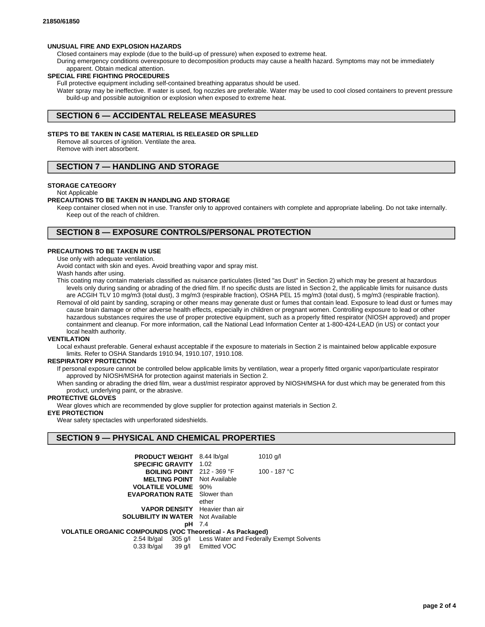#### **UNUSUAL FIRE AND EXPLOSION HAZARDS**

Closed containers may explode (due to the build-up of pressure) when exposed to extreme heat.

During emergency conditions overexposure to decomposition products may cause a health hazard. Symptoms may not be immediately apparent. Obtain medical attention.

#### **SPECIAL FIRE FIGHTING PROCEDURES**

Full protective equipment including self-contained breathing apparatus should be used.

Water spray may be ineffective. If water is used, fog nozzles are preferable. Water may be used to cool closed containers to prevent pressure build-up and possible autoignition or explosion when exposed to extreme heat.

## **SECTION 6 — ACCIDENTAL RELEASE MEASURES**

#### **STEPS TO BE TAKEN IN CASE MATERIAL IS RELEASED OR SPILLED**

Remove all sources of ignition. Ventilate the area. Remove with inert absorbent.

# **SECTION 7 — HANDLING AND STORAGE**

#### **STORAGE CATEGORY**

#### Not Applicable

#### **PRECAUTIONS TO BE TAKEN IN HANDLING AND STORAGE**

Keep container closed when not in use. Transfer only to approved containers with complete and appropriate labeling. Do not take internally. Keep out of the reach of children.

## **SECTION 8 — EXPOSURE CONTROLS/PERSONAL PROTECTION**

#### **PRECAUTIONS TO BE TAKEN IN USE**

Use only with adequate ventilation.

Avoid contact with skin and eyes. Avoid breathing vapor and spray mist.

Wash hands after using.

This coating may contain materials classified as nuisance particulates (listed "as Dust" in Section 2) which may be present at hazardous levels only during sanding or abrading of the dried film. If no specific dusts are listed in Section 2, the applicable limits for nuisance dusts are ACGIH TLV 10 mg/m3 (total dust), 3 mg/m3 (respirable fraction), OSHA PEL 15 mg/m3 (total dust), 5 mg/m3 (respirable fraction).

Removal of old paint by sanding, scraping or other means may generate dust or fumes that contain lead. Exposure to lead dust or fumes may cause brain damage or other adverse health effects, especially in children or pregnant women. Controlling exposure to lead or other hazardous substances requires the use of proper protective equipment, such as a properly fitted respirator (NIOSH approved) and proper containment and cleanup. For more information, call the National Lead Information Center at 1-800-424-LEAD (in US) or contact your local health authority.

### **VENTILATION**

Local exhaust preferable. General exhaust acceptable if the exposure to materials in Section 2 is maintained below applicable exposure limits. Refer to OSHA Standards 1910.94, 1910.107, 1910.108.

#### **RESPIRATORY PROTECTION**

If personal exposure cannot be controlled below applicable limits by ventilation, wear a properly fitted organic vapor/particulate respirator approved by NIOSH/MSHA for protection against materials in Section 2.

When sanding or abrading the dried film, wear a dust/mist respirator approved by NIOSH/MSHA for dust which may be generated from this product, underlying paint, or the abrasive.

#### **PROTECTIVE GLOVES**

Wear gloves which are recommended by glove supplier for protection against materials in Section 2.

**EYE PROTECTION**

Wear safety spectacles with unperforated sideshields.

## **SECTION 9 — PHYSICAL AND CHEMICAL PROPERTIES**

| <b>PRODUCT WEIGHT</b> 8.44 lb/gal                                 |               | $1010$ g/l   |  |  |
|-------------------------------------------------------------------|---------------|--------------|--|--|
| <b>SPECIFIC GRAVITY 1.02</b>                                      |               |              |  |  |
| <b>BOILING POINT</b> $212 - 369$ °F                               |               | 100 - 187 °C |  |  |
| <b>MELTING POINT</b> Not Available                                |               |              |  |  |
| <b>VOLATILE VOLUME</b> 90%                                        |               |              |  |  |
| <b>EVAPORATION RATE</b> Slower than                               |               |              |  |  |
|                                                                   | ether         |              |  |  |
| <b>VAPOR DENSITY</b> Heavier than air                             |               |              |  |  |
| <b>SOLUBILITY IN WATER</b> Not Available                          |               |              |  |  |
|                                                                   | <b>pH</b> 7.4 |              |  |  |
| <b>VOLATILE ORGANIC COMPOUNDS (VOC Theoretical - As Packaged)</b> |               |              |  |  |
|                                                                   |               |              |  |  |

2.54 lb/gal 305 g/l Less Water and Federally Exempt Solvents 0.33 lb/gal 39 g/l Emitted VOC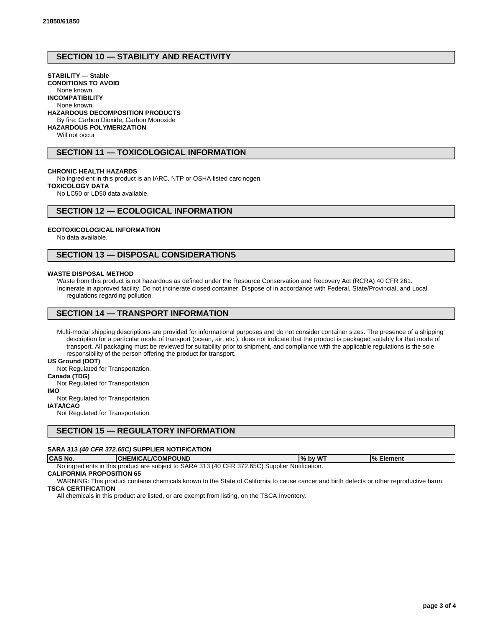# **SECTION 10 — STABILITY AND REACTIVITY**

# **STABILITY — Stable**

**CONDITIONS TO AVOID** None known.

# **INCOMPATIBILITY**

None known.

#### **HAZARDOUS DECOMPOSITION PRODUCTS**

By fire: Carbon Dioxide, Carbon Monoxide

**HAZARDOUS POLYMERIZATION**

Will not occur

# **SECTION 11 — TOXICOLOGICAL INFORMATION**

#### **CHRONIC HEALTH HAZARDS**

No ingredient in this product is an IARC, NTP or OSHA listed carcinogen.

**TOXICOLOGY DATA**

No LC50 or LD50 data available.

# **SECTION 12 — ECOLOGICAL INFORMATION**

### **ECOTOXICOLOGICAL INFORMATION**

No data available.

# **SECTION 13 — DISPOSAL CONSIDERATIONS**

#### **WASTE DISPOSAL METHOD**

Waste from this product is not hazardous as defined under the Resource Conservation and Recovery Act (RCRA) 40 CFR 261. Incinerate in approved facility. Do not incinerate closed container. Dispose of in accordance with Federal, State/Provincial, and Local regulations regarding pollution.

# **SECTION 14 — TRANSPORT INFORMATION**

Multi-modal shipping descriptions are provided for informational purposes and do not consider container sizes. The presence of a shipping description for a particular mode of transport (ocean, air, etc.), does not indicate that the product is packaged suitably for that mode of transport. All packaging must be reviewed for suitability prior to shipment, and compliance with the applicable regulations is the sole responsibility of the person offering the product for transport.

#### **US Ground (DOT)**

Not Regulated for Transportation.

**Canada (TDG)**

Not Regulated for Transportation.

**IMO**

Not Regulated for Transportation.

**IATA/ICAO**

Not Regulated for Transportation.

# **SECTION 15 — REGULATORY INFORMATION**

#### **SARA 313 (40 CFR 372.65C) SUPPLIER NOTIFICATION**

| <b>CAS No.</b> | <b>CHEMICAL/COMPOUND</b>                                                                       | , bv WT<br>$\frac{9}{6}$ | % Element |
|----------------|------------------------------------------------------------------------------------------------|--------------------------|-----------|
|                | No ingredients in this product are subject to SARA 313 (40 CFR 372.65C) Supplier Notification. |                          |           |

# **CALIFORNIA PROPOSITION 65**

WARNING: This product contains chemicals known to the State of California to cause cancer and birth defects or other reproductive harm. **TSCA CERTIFICATION**

All chemicals in this product are listed, or are exempt from listing, on the TSCA Inventory.